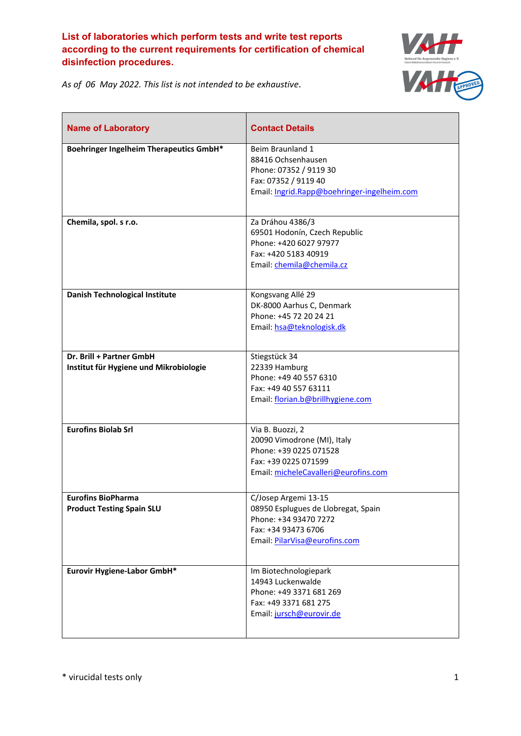

*As of 06 May 2022. This list is not intended to be exhaustive.*

| <b>Name of Laboratory</b>                                          | <b>Contact Details</b>                                                                                                                       |
|--------------------------------------------------------------------|----------------------------------------------------------------------------------------------------------------------------------------------|
| <b>Boehringer Ingelheim Therapeutics GmbH*</b>                     | Beim Braunland 1<br>88416 Ochsenhausen<br>Phone: 07352 / 9119 30<br>Fax: 07352 / 9119 40<br>Email: Ingrid.Rapp@boehringer-ingelheim.com      |
| Chemila, spol. s r.o.                                              | Za Dráhou 4386/3<br>69501 Hodonín, Czech Republic<br>Phone: +420 6027 97977<br>Fax: +420 5183 40919<br>Email: chemila@chemila.cz             |
| Danish Technological Institute                                     | Kongsvang Allé 29<br>DK-8000 Aarhus C, Denmark<br>Phone: +45 72 20 24 21<br>Email: hsa@teknologisk.dk                                        |
| Dr. Brill + Partner GmbH<br>Institut für Hygiene und Mikrobiologie | Stiegstück 34<br>22339 Hamburg<br>Phone: +49 40 557 6310<br>Fax: +49 40 557 63111<br>Email: florian.b@brillhygiene.com                       |
| <b>Eurofins Biolab Srl</b>                                         | Via B. Buozzi, 2<br>20090 Vimodrone (MI), Italy<br>Phone: +39 0225 071528<br>Fax: +39 0225 071599<br>Email: micheleCavalleri@eurofins.com    |
| <b>Eurofins BioPharma</b><br><b>Product Testing Spain SLU</b>      | C/Josep Argemi 13-15<br>08950 Esplugues de Llobregat, Spain<br>Phone: +34 93470 7272<br>Fax: +34 93473 6706<br>Email: PilarVisa@eurofins.com |
| Eurovir Hygiene-Labor GmbH*                                        | Im Biotechnologiepark<br>14943 Luckenwalde<br>Phone: +49 3371 681 269<br>Fax: +49 3371 681 275<br>Email: jursch@eurovir.de                   |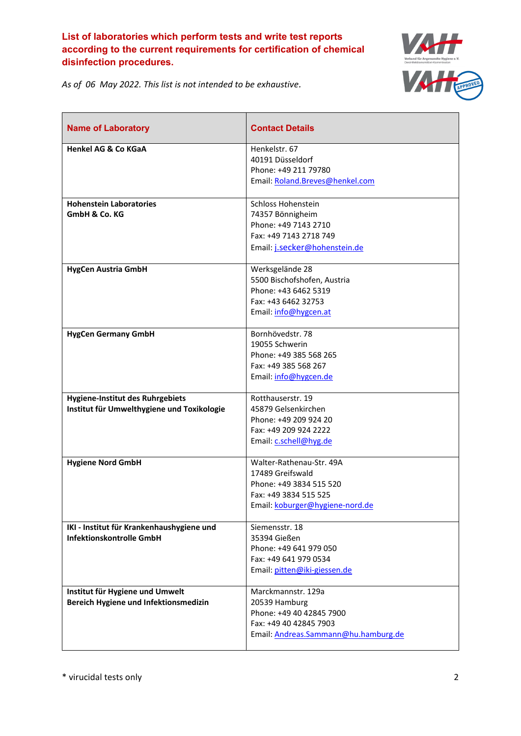

*As of 06 May 2022. This list is not intended to be exhaustive.*

| <b>Name of Laboratory</b>                                                      | <b>Contact Details</b>                                                                                                              |
|--------------------------------------------------------------------------------|-------------------------------------------------------------------------------------------------------------------------------------|
| <b>Henkel AG &amp; Co KGaA</b>                                                 | Henkelstr. 67<br>40191 Düsseldorf<br>Phone: +49 211 79780<br>Email: Roland.Breves@henkel.com                                        |
| <b>Hohenstein Laboratories</b><br>GmbH & Co. KG                                | Schloss Hohenstein<br>74357 Bönnigheim<br>Phone: +49 7143 2710<br>Fax: +49 7143 2718 749<br>Email: j.secker@hohenstein.de           |
| <b>HygCen Austria GmbH</b>                                                     | Werksgelände 28<br>5500 Bischofshofen, Austria<br>Phone: +43 6462 5319<br>Fax: +43 6462 32753<br>Email: info@hygcen.at              |
| <b>HygCen Germany GmbH</b>                                                     | Bornhövedstr. 78<br>19055 Schwerin<br>Phone: +49 385 568 265<br>Fax: +49 385 568 267<br>Email: info@hygcen.de                       |
| Hygiene-Institut des Ruhrgebiets<br>Institut für Umwelthygiene und Toxikologie | Rotthauserstr. 19<br>45879 Gelsenkirchen<br>Phone: +49 209 924 20<br>Fax: +49 209 924 2222<br>Email: c.schell@hyg.de                |
| <b>Hygiene Nord GmbH</b>                                                       | Walter-Rathenau-Str. 49A<br>17489 Greifswald<br>Phone: +49 3834 515 520<br>Fax: +49 3834 515 525<br>Email: koburger@hygiene-nord.de |
| IKI - Institut für Krankenhaushygiene und<br>Infektionskontrolle GmbH          | Siemensstr. 18<br>35394 Gießen<br>Phone: +49 641 979 050<br>Fax: +49 641 979 0534<br>Email: pitten@iki-giessen.de                   |
| Institut für Hygiene und Umwelt<br>Bereich Hygiene und Infektionsmedizin       | Marckmannstr. 129a<br>20539 Hamburg<br>Phone: +49 40 42845 7900<br>Fax: +49 40 42845 7903<br>Email: Andreas.Sammann@hu.hamburg.de   |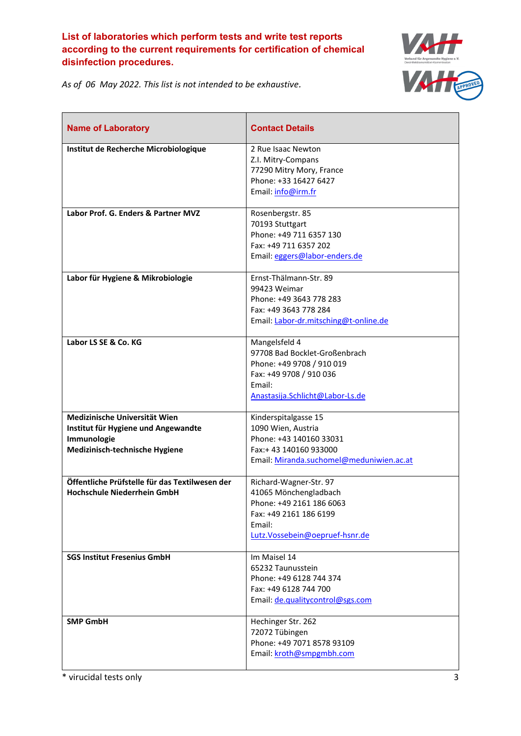

*As of 06 May 2022. This list is not intended to be exhaustive.*

| <b>Name of Laboratory</b>                                                                                             | <b>Contact Details</b>                                                                                                                              |
|-----------------------------------------------------------------------------------------------------------------------|-----------------------------------------------------------------------------------------------------------------------------------------------------|
| Institut de Recherche Microbiologique                                                                                 | 2 Rue Isaac Newton<br>Z.I. Mitry-Compans<br>77290 Mitry Mory, France<br>Phone: +33 16427 6427<br>Email: info@irm.fr                                 |
| Labor Prof. G. Enders & Partner MVZ                                                                                   | Rosenbergstr. 85<br>70193 Stuttgart<br>Phone: +49 711 6357 130<br>Fax: +49 711 6357 202<br>Email: eggers@labor-enders.de                            |
| Labor für Hygiene & Mikrobiologie                                                                                     | Ernst-Thälmann-Str. 89<br>99423 Weimar<br>Phone: +49 3643 778 283<br>Fax: +49 3643 778 284<br>Email: Labor-dr.mitsching@t-online.de                 |
| Labor LS SE & Co. KG                                                                                                  | Mangelsfeld 4<br>97708 Bad Bocklet-Großenbrach<br>Phone: +49 9708 / 910 019<br>Fax: +49 9708 / 910 036<br>Email:<br>Anastasija.Schlicht@Labor-Ls.de |
| Medizinische Universität Wien<br>Institut für Hygiene und Angewandte<br>Immunologie<br>Medizinisch-technische Hygiene | Kinderspitalgasse 15<br>1090 Wien, Austria<br>Phone: +43 140160 33031<br>Fax:+43 140160 933000<br>Email: Miranda.suchomel@meduniwien.ac.at          |
| Öffentliche Prüfstelle für das Textilwesen der<br>Hochschule Niederrhein GmbH                                         | Richard-Wagner-Str. 97<br>41065 Mönchengladbach<br>Phone: +49 2161 186 6063<br>Fax: +49 2161 186 6199<br>Email:<br>Lutz.Vossebein@oepruef-hsnr.de   |
| <b>SGS Institut Fresenius GmbH</b>                                                                                    | Im Maisel 14<br>65232 Taunusstein<br>Phone: +49 6128 744 374<br>Fax: +49 6128 744 700<br>Email: de.qualitycontrol@sgs.com                           |
| <b>SMP GmbH</b>                                                                                                       | Hechinger Str. 262<br>72072 Tübingen<br>Phone: +49 7071 8578 93109<br>Email: kroth@smpgmbh.com                                                      |